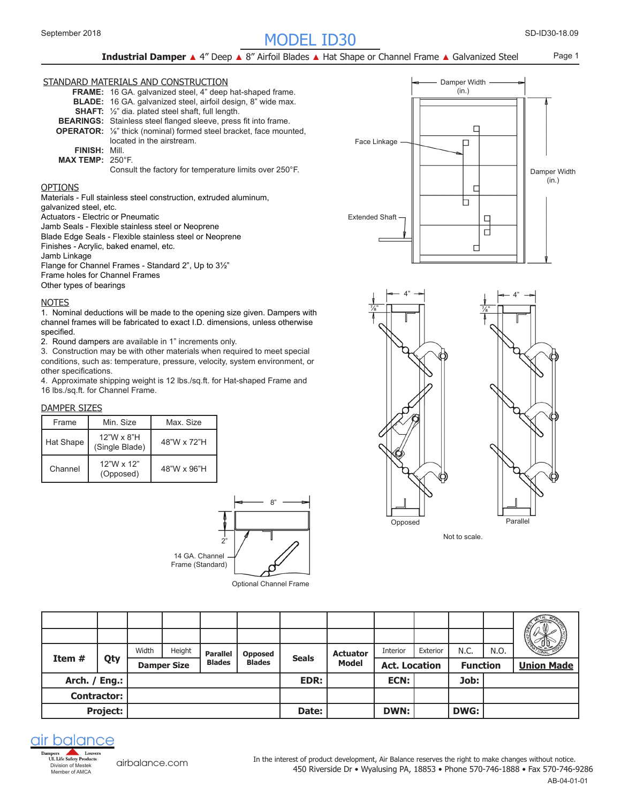# SD-ID30- MODEL ID30 September 2018 18.09

Page 1

## **Industrial Damper** ▲ 4" Deep ▲ 8" Airfoil Blades ▲ Hat Shape or Channel Frame ▲ Galvanized Steel

#### STANDARD MATERIALS AND CONSTRUCTION

|                         | <b>FRAME:</b> 16 GA. galvanized steel, 4" deep hat-shaped frame.                       |
|-------------------------|----------------------------------------------------------------------------------------|
|                         | <b>BLADE:</b> 16 GA. galvanized steel, airfoil design, 8" wide max.                    |
|                         | <b>SHAFT:</b> $\frac{1}{2}$ " dia. plated steel shaft, full length.                    |
|                         | <b>BEARINGS:</b> Stainless steel flanged sleeve, press fit into frame.                 |
|                         | <b>OPERATOR:</b> 1/ <sub>8</sub> " thick (nominal) formed steel bracket, face mounted, |
|                         | located in the airstream.                                                              |
| <b>FINISH: Mill.</b>    |                                                                                        |
| <b>MAX TEMP: 250°F.</b> |                                                                                        |
|                         |                                                                                        |

#### Consult the factory for temperature limits over 250°F.

### OPTIONS

Materials - Full stainless steel construction, extruded aluminum,

galvanized steel, etc.

Actuators - Electric or Pneumatic

Jamb Seals - Flexible stainless steel or Neoprene

Blade Edge Seals - Flexible stainless steel or Neoprene

Finishes - Acrylic, baked enamel, etc.

Jamb Linkage

Flange for Channel Frames - Standard 2", Up to 3½"

Frame holes for Channel Frames

Other types of bearings

#### **NOTES**

1. Nominal deductions will be made to the opening size given. Dampers with channel frames will be fabricated to exact I.D. dimensions, unless otherwise specified.

2. Round dampers are available in 1" increments only.

3. Construction may be with other materials when required to meet special conditions, such as: temperature, pressure, velocity, system environment, or other specifications.

4. Approximate shipping weight is 12 lbs./sq.ft. for Hat-shaped Frame and 16 lbs./sq.ft. for Channel Frame.

#### DAMPER SIZES

| Frame     | Min Size                       | Max Size    |
|-----------|--------------------------------|-------------|
| Hat Shape | 12"W x 8"H<br>(Single Blade)   | 48"W x 72"H |
| Channel   | $12"W \times 12"$<br>(Opposed) | 48"W x 96"H |



Optional Channel Frame





Not to scale.

|               |                    | Width | Height             |                                  |                                 |              |                                 | Interior             | Exterior | N.C.            | N.O. |                   |
|---------------|--------------------|-------|--------------------|----------------------------------|---------------------------------|--------------|---------------------------------|----------------------|----------|-----------------|------|-------------------|
| Item $#$      | Qty                |       | <b>Damper Size</b> | <b>Parallel</b><br><b>Blades</b> | <b>Opposed</b><br><b>Blades</b> | <b>Seals</b> | <b>Actuator</b><br><b>Model</b> | <b>Act. Location</b> |          | <b>Function</b> |      | <b>Union Made</b> |
| Arch. / Eng.: |                    |       |                    |                                  |                                 | EDR:         |                                 | <b>ECN:</b>          |          | Job:            |      |                   |
|               |                    |       |                    |                                  |                                 |              |                                 |                      |          |                 |      |                   |
|               | <b>Contractor:</b> |       |                    |                                  |                                 |              |                                 |                      |          |                 |      |                   |



[airbalance.com](http://airbalance.com)

450 Riverside Dr • Wyalusing PA, 18853 • Phone 570-746-1888 • Fax 570-746-9286 In the interest of product development, Air Balance reserves the right to make changes without notice.